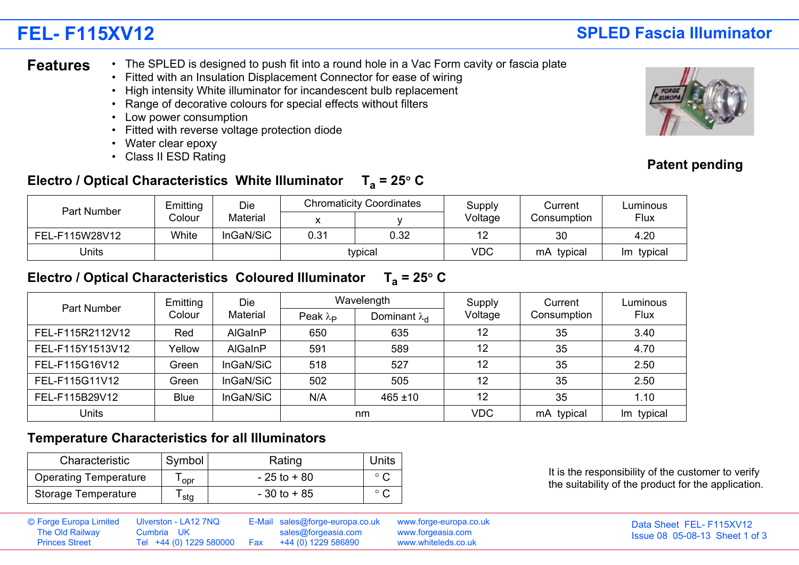# **FEL- F115XV12**

### • The SPLED is designed to push fit into a round hole in a Vac Form cavity or fascia plate **Features**

- Fitted with an Insulation Displacement Connector for ease of wiring
- High intensity White illuminator for incandescent bulb replacement
- Range of decorative colours for special effects without filters
- Low power consumption
- Fitted with reverse voltage protection diode
- Water clear epoxy
- Class II ESD Rating

### Electro / Optical Characteristics White Illuminator  $T_a = 25^\circ$  C

| Part Number    | Emitting | Die<br>Material |         | <b>Chromaticity Coordinates</b> | Supply<br>Voltage | Current<br>Consumption | Luminous<br><b>Flux</b> |
|----------------|----------|-----------------|---------|---------------------------------|-------------------|------------------------|-------------------------|
|                | Colour   |                 |         |                                 |                   |                        |                         |
| FEL-F115W28V12 | White    | InGaN/SiC       | 0.31    | 0.32                            | ' –               | 30                     | 4.20                    |
| Units          |          |                 | typical |                                 | <b>VDC</b>        | typical<br>mA.         | typical<br>lm.          |

### Electro / Optical Characteristics Coloured Illuminator  $T_a = 25^\circ$  C

| Part Number      | Emitting    | <b>Die</b>     |                        | Wavelength             | Supply     | Current<br>Consumption | Luminous<br>Flux |
|------------------|-------------|----------------|------------------------|------------------------|------------|------------------------|------------------|
|                  | Colour      | Material       | Peak $\lambda_{\rm P}$ | Dominant $\lambda_{d}$ | Voltage    |                        |                  |
| FEL-F115R2112V12 | Red         | <b>AlGaInP</b> | 650                    | 635                    | 12         | 35                     | 3.40             |
| FEL-F115Y1513V12 | Yellow      | <b>AIGaInP</b> | 591                    | 589                    | 12         | 35                     | 4.70             |
| FEL-F115G16V12   | Green       | InGaN/SiC      | 518                    | 527                    | 12         | 35                     | 2.50             |
| FEL-F115G11V12   | Green       | InGaN/SiC      | 502                    | 505                    | 12         | 35                     | 2.50             |
| FEL-F115B29V12   | <b>Blue</b> | InGaN/SiC      | N/A                    | $465 \pm 10$           | 12         | 35                     | 1.10             |
| <b>Units</b>     |             |                | nm                     |                        | <b>VDC</b> | mA typical             | Im typical       |

### **Temperature Characteristics for all Illuminators**

| Characteristic               | Symbol | Rating         | Units          |
|------------------------------|--------|----------------|----------------|
| <b>Operating Temperature</b> | opr    | $-25$ to $+80$ | $\circ$ $\sim$ |
| Storage Temperature          | stg    | $-30$ to $+85$ | $\circ$ $\sim$ |

It is the responsibility of the customer to verify the suitability of the product for the application.

| The Old Railway<br><b>Princes Street</b> | © Forge Europa Limited Ulverston - LA12 7NQ<br>Cumbria UK<br>Tel +44 (0) 1229 580000   Fax   +44 (0) 1229 586890 |  | E-Mail sales@forge-europa.co.uk www.forge-europa.co.uk<br>sales@forgeasia.com | www.forgeasia.com<br>www.whiteleds.co.uk | Data Sheet FEL-F115XV12<br>Issue 08 05-08-13 Sheet 1 of 3 |
|------------------------------------------|------------------------------------------------------------------------------------------------------------------|--|-------------------------------------------------------------------------------|------------------------------------------|-----------------------------------------------------------|
|------------------------------------------|------------------------------------------------------------------------------------------------------------------|--|-------------------------------------------------------------------------------|------------------------------------------|-----------------------------------------------------------|



## **SPLED Fascia Illuminator**

### **Patent pending**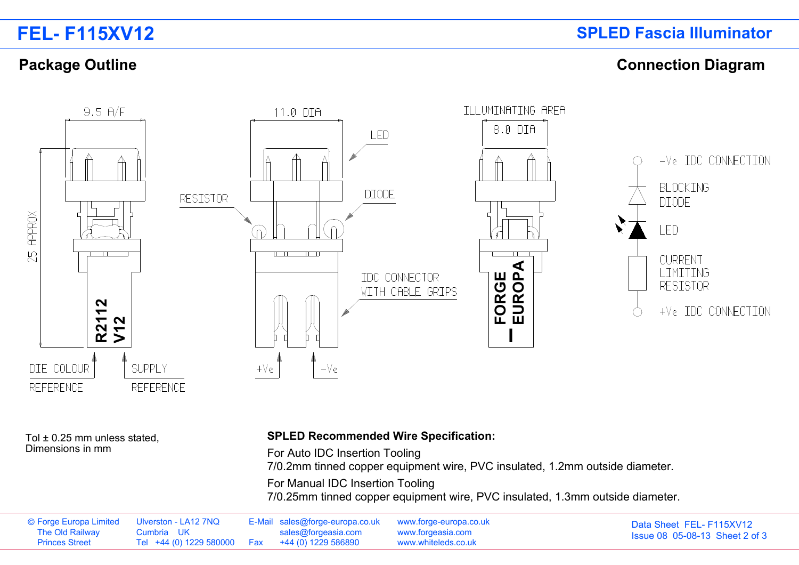### **Package Outline Connection Diagram**



Tol ± 0.25 mm unless stated, Dimensions in mm

### **SPLED Recommended Wire Specification:**

For Auto IDC Insertion Tooling

7/0.2mm tinned copper equipment wire, PVC insulated, 1.2mm outside diameter.

For Manual IDC Insertion Tooling

7/0.25mm tinned copper equipment wire, PVC insulated, 1.3mm outside diameter.

| © Forge Europa Limited Ulverston - LA12 7NQ<br>The Old Railway | Cumbria UK                                          | E-Mail sales@forge-europa.co.uk www.forge-europa.co.uk<br>sales@forgeasia.com | www.forgeasia.com   | Data Sheet FEL-F115XV12<br><b>Issue 08 05-08-13 Sheet 2 of 3</b> |
|----------------------------------------------------------------|-----------------------------------------------------|-------------------------------------------------------------------------------|---------------------|------------------------------------------------------------------|
| <b>Princes Street</b>                                          | Tel +44 (0) 1229 580000   Fax   +44 (0) 1229 586890 |                                                                               | www.whiteleds.co.uk |                                                                  |